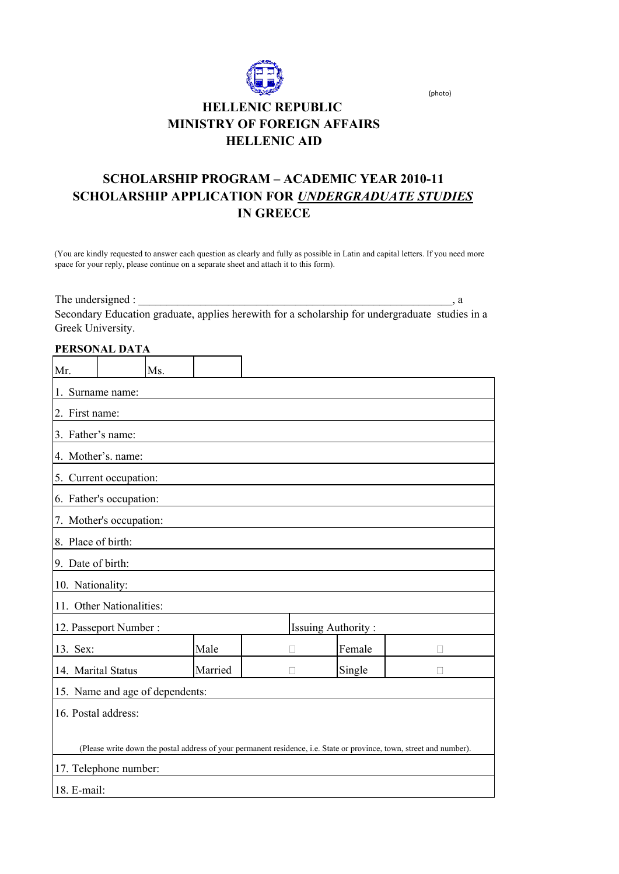

(photo)

## **HELLENIC REPUBLIC MINISTRY OF FOREIGN AFFAIRS HELLENIC AID**

## **SCHOLARSHIP APPLICATION FOR** *UNDERGRADUATE STUDIES* **SCHOLARSHIP PROGRAM – ACADEMIC YEAR 2010-11 IN GREECE**

(You are kindly requested to answer each question as clearly and fully as possible in Latin and capital letters. If you need more space for your reply, please continue on a separate sheet and attach it to this form).

The undersigned :  $\Box$ Secondary Education graduate, applies herewith for a scholarship for undergraduate studies in a Greek University.

| PERSONAL DATA                                                                                                        |  |     |         |                           |         |        |       |  |
|----------------------------------------------------------------------------------------------------------------------|--|-----|---------|---------------------------|---------|--------|-------|--|
| Mr.                                                                                                                  |  | Ms. |         |                           |         |        |       |  |
| 1.<br>Surname name:                                                                                                  |  |     |         |                           |         |        |       |  |
| 2. First name:                                                                                                       |  |     |         |                           |         |        |       |  |
| 3. Father's name:                                                                                                    |  |     |         |                           |         |        |       |  |
| 4. Mother's. name:                                                                                                   |  |     |         |                           |         |        |       |  |
| 5. Current occupation:                                                                                               |  |     |         |                           |         |        |       |  |
| 6. Father's occupation:                                                                                              |  |     |         |                           |         |        |       |  |
| 7. Mother's occupation:                                                                                              |  |     |         |                           |         |        |       |  |
| 8. Place of birth:                                                                                                   |  |     |         |                           |         |        |       |  |
| 9. Date of birth:                                                                                                    |  |     |         |                           |         |        |       |  |
| 10. Nationality:                                                                                                     |  |     |         |                           |         |        |       |  |
| 11. Other Nationalities:                                                                                             |  |     |         |                           |         |        |       |  |
| 12. Passeport Number:                                                                                                |  |     |         | <b>Issuing Authority:</b> |         |        |       |  |
| 13. Sex:                                                                                                             |  |     | Male    |                           | $\,<$   | Female | <     |  |
| 14. Marital Status                                                                                                   |  |     | Married |                           | $\,<\,$ | Single | $\,<$ |  |
| 15. Name and age of dependents:                                                                                      |  |     |         |                           |         |        |       |  |
| 16. Postal address:                                                                                                  |  |     |         |                           |         |        |       |  |
|                                                                                                                      |  |     |         |                           |         |        |       |  |
| (Please write down the postal address of your permanent residence, i.e. State or province, town, street and number). |  |     |         |                           |         |        |       |  |
| 17. Telephone number:                                                                                                |  |     |         |                           |         |        |       |  |
| 18. E-mail:                                                                                                          |  |     |         |                           |         |        |       |  |